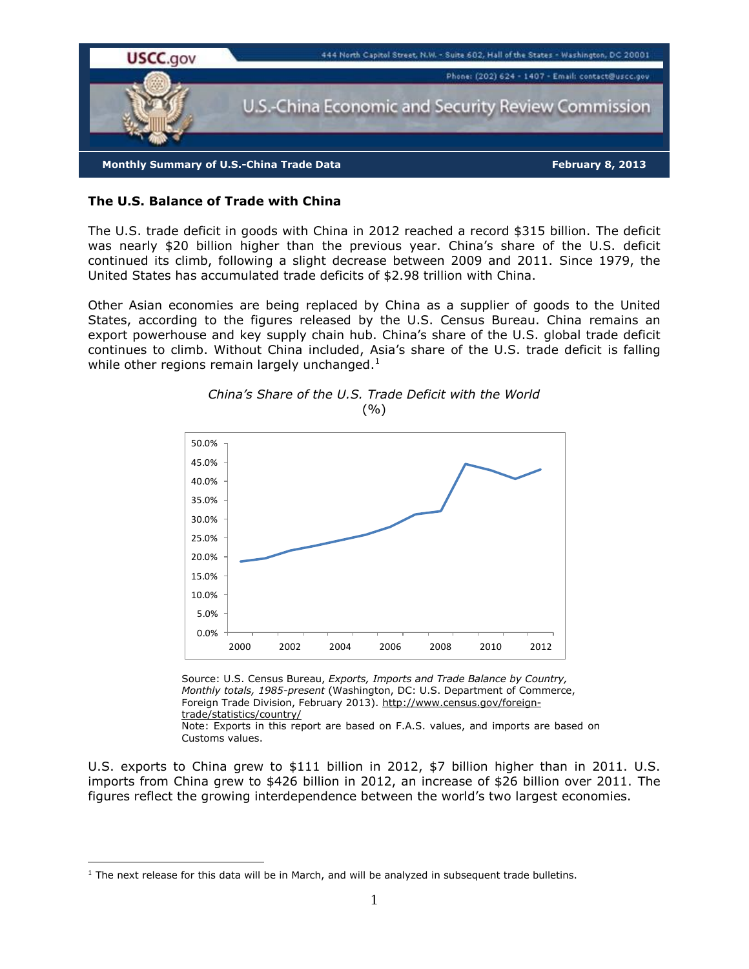

# **The U.S. Balance of Trade with China**

The U.S. trade deficit in goods with China in 2012 reached a record \$315 billion. The deficit was nearly \$20 billion higher than the previous year. China's share of the U.S. deficit continued its climb, following a slight decrease between 2009 and 2011. Since 1979, the United States has accumulated trade deficits of \$2.98 trillion with China.

Other Asian economies are being replaced by China as a supplier of goods to the United States, according to the figures released by the U.S. Census Bureau. China remains an export powerhouse and key supply chain hub. China's share of the U.S. global trade deficit continues to climb. Without China included, Asia's share of the U.S. trade deficit is falling while other regions remain largely unchanged.<sup>1</sup>





Source: U.S. Census Bureau, *Exports, Imports and Trade Balance by Country, Monthly totals, 1985-present* (Washington, DC: U.S. Department of Commerce, Foreign Trade Division, February 2013). http://www.census.gov/foreigntrade/statistics/country/ Note: Exports in this report are based on F.A.S. values, and imports are based on Customs values.

U.S. exports to China grew to \$111 billion in 2012, \$7 billion higher than in 2011. U.S. imports from China grew to \$426 billion in 2012, an increase of \$26 billion over 2011. The figures reflect the growing interdependence between the world's two largest economies.

 $\overline{a}$ 

 $<sup>1</sup>$  The next release for this data will be in March, and will be analyzed in subsequent trade bulletins.</sup>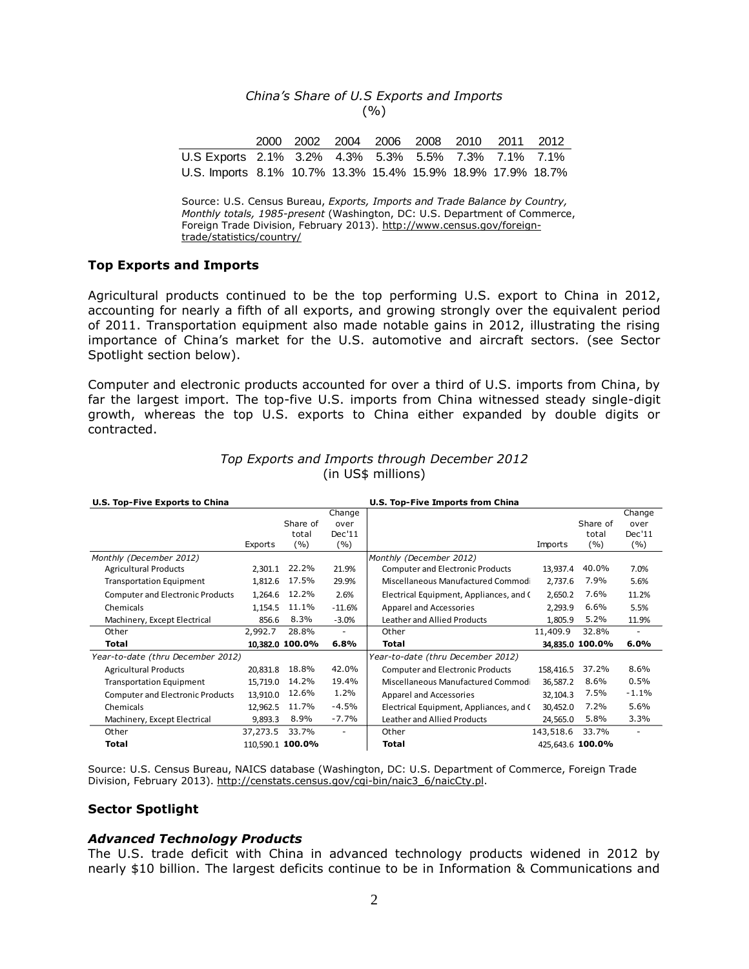## *China's Share of U.S Exports and Imports*  $( %)$

|                                                             |  | 2000 2002 2004 2006 2008 2010 2011 2012 |  |  |  |
|-------------------------------------------------------------|--|-----------------------------------------|--|--|--|
| U.S Exports 2.1% 3.2% 4.3% 5.3% 5.5% 7.3% 7.1% 7.1%         |  |                                         |  |  |  |
| U.S. Imports 8.1% 10.7% 13.3% 15.4% 15.9% 18.9% 17.9% 18.7% |  |                                         |  |  |  |

Source: U.S. Census Bureau, *Exports, Imports and Trade Balance by Country, Monthly totals, 1985-present* (Washington, DC: U.S. Department of Commerce, Foreign Trade Division, February 2013). http://www.census.gov/foreigntrade/statistics/country/

### **Top Exports and Imports**

Agricultural products continued to be the top performing U.S. export to China in 2012, accounting for nearly a fifth of all exports, and growing strongly over the equivalent period of 2011. Transportation equipment also made notable gains in 2012, illustrating the rising importance of China's market for the U.S. automotive and aircraft sectors. (see Sector Spotlight section below).

Computer and electronic products accounted for over a third of U.S. imports from China, by far the largest import. The top-five U.S. imports from China witnessed steady single-digit growth, whereas the top U.S. exports to China either expanded by double digits or contracted.

| U.S. Top-Five Exports to China          |                  |                 |                   | U.S. Top-Five Imports from China        |                  |                 |                |  |
|-----------------------------------------|------------------|-----------------|-------------------|-----------------------------------------|------------------|-----------------|----------------|--|
|                                         |                  |                 | Change            |                                         |                  |                 | Change         |  |
|                                         |                  | Share of        | over              |                                         |                  | Share of        | over           |  |
|                                         |                  | total           | Dec'11            |                                         |                  | total           | Dec'11         |  |
|                                         | Exports          | ( %)            | (%)               |                                         | Imports          | (%)             | ( %)           |  |
| Monthly (December 2012)                 |                  |                 |                   | Monthly (December 2012)                 |                  |                 |                |  |
| <b>Agricultural Products</b>            | 2,301.1          | 22.2%           | 21.9%             | <b>Computer and Electronic Products</b> | 13,937.4         | 40.0%           | 7.0%           |  |
| <b>Transportation Equipment</b>         | 1,812.6          | 17.5%           | 29.9%             | Miscellaneous Manufactured Commod       | 2,737.6          | 7.9%            | 5.6%           |  |
| <b>Computer and Electronic Products</b> | 1,264.6          | 12.2%           | 2.6%              | Electrical Equipment, Appliances, and C | 2,650.2          | 7.6%            | 11.2%          |  |
| Chemicals                               | 1,154.5          | 11.1%           | $-11.6%$          | Apparel and Accessories                 | 2,293.9          | 6.6%            | 5.5%           |  |
| Machinery, Except Electrical            | 856.6            | 8.3%            | $-3.0%$           | Leather and Allied Products             | 1,805.9          | 5.2%            | 11.9%          |  |
| Other                                   | 2,992.7          | 28.8%           | $\overline{a}$    | Other                                   | 11,409.9         | 32.8%           | $\overline{a}$ |  |
| Total                                   |                  | 10,382.0 100.0% | 6.8%              | Total                                   |                  | 34,835.0 100.0% | 6.0%           |  |
| Year-to-date (thru December 2012)       |                  |                 |                   | Year-to-date (thru December 2012)       |                  |                 |                |  |
| <b>Agricultural Products</b>            | 20,831.8         | 18.8%           | 42.0%             | <b>Computer and Electronic Products</b> | 158,416.5        | 37.2%           | 8.6%           |  |
| <b>Transportation Equipment</b>         | 15,719.0         | 14.2%           | 19.4%             | Miscellaneous Manufactured Commod       | 36,587.2         | 8.6%            | 0.5%           |  |
| <b>Computer and Electronic Products</b> | 13,910.0         | 12.6%           | 1.2%              | Apparel and Accessories                 | 32,104.3         | 7.5%            | $-1.1%$        |  |
| Chemicals                               | 12,962.5         | 11.7%           | $-4.5%$           | Electrical Equipment, Appliances, and C | 30,452.0         | 7.2%            | 5.6%           |  |
| Machinery, Except Electrical            | 9,893.3          | 8.9%            | $-7.7%$           | Leather and Allied Products             | 24,565.0         | 5.8%            | 3.3%           |  |
| Other                                   | 37,273.5         | 33.7%           | $\qquad \qquad -$ | Other                                   | 143,518.6        | 33.7%           |                |  |
| <b>Total</b>                            | 110,590.1 100.0% |                 |                   | Total                                   | 425,643.6 100.0% |                 |                |  |

### *Top Exports and Imports through December 2012*  (in US\$ millions)

Source: U.S. Census Bureau, NAICS database (Washington, DC: U.S. Department of Commerce, Foreign Trade Division, February 2013). http://censtats.census.gov/cgi-bin/naic3\_6/naicCty.pl.

### **Sector Spotlight**

## *Advanced Technology Products*

The U.S. trade deficit with China in advanced technology products widened in 2012 by nearly \$10 billion. The largest deficits continue to be in Information & Communications and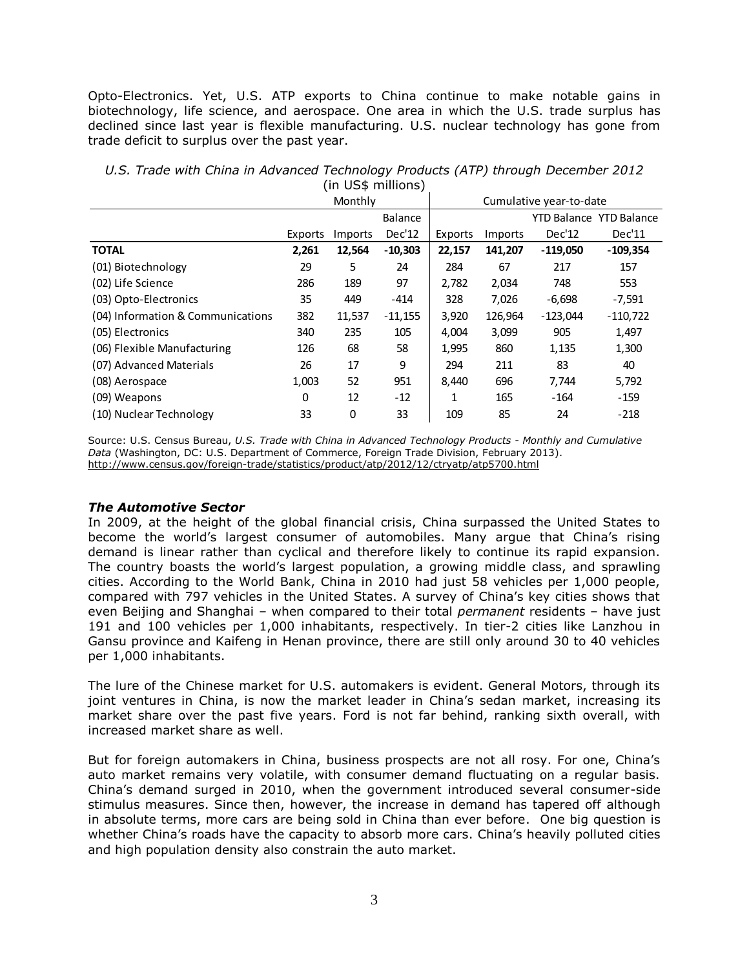Opto-Electronics. Yet, U.S. ATP exports to China continue to make notable gains in biotechnology, life science, and aerospace. One area in which the U.S. trade surplus has declined since last year is flexible manufacturing. U.S. nuclear technology has gone from trade deficit to surplus over the past year.

|                                   |         | Monthly |           |         |         | Cumulative year-to-date |                                |
|-----------------------------------|---------|---------|-----------|---------|---------|-------------------------|--------------------------------|
|                                   |         |         | Balance   |         |         |                         | <b>YTD Balance YTD Balance</b> |
|                                   | Exports | Imports | Dec'12    | Exports | Imports | Dec'12                  | Dec'11                         |
| <b>TOTAL</b>                      | 2,261   | 12,564  | $-10,303$ | 22,157  | 141,207 | $-119,050$              | $-109,354$                     |
| (01) Biotechnology                | 29      | 5       | 24        | 284     | 67      | 217                     | 157                            |
| (02) Life Science                 | 286     | 189     | 97        | 2,782   | 2,034   | 748                     | 553                            |
| (03) Opto-Electronics             | 35      | 449     | $-414$    | 328     | 7,026   | $-6,698$                | $-7,591$                       |
| (04) Information & Communications | 382     | 11,537  | $-11,155$ | 3,920   | 126,964 | $-123,044$              | $-110,722$                     |
| (05) Electronics                  | 340     | 235     | 105       | 4,004   | 3,099   | 905                     | 1,497                          |
| (06) Flexible Manufacturing       | 126     | 68      | 58        | 1,995   | 860     | 1,135                   | 1,300                          |
| (07) Advanced Materials           | 26      | 17      | 9         | 294     | 211     | 83                      | 40                             |
| (08) Aerospace                    | 1,003   | 52      | 951       | 8,440   | 696     | 7,744                   | 5,792                          |
| (09) Weapons                      | 0       | 12      | $-12$     | 1       | 165     | $-164$                  | $-159$                         |
| (10) Nuclear Technology           | 33      | 0       | 33        | 109     | 85      | 24                      | $-218$                         |

*U.S. Trade with China in Advanced Technology Products (ATP) through December 2012* (in US\$ millions)

Source: U.S. Census Bureau, *U.S. Trade with China in Advanced Technology Products - Monthly and Cumulative Data* (Washington, DC: U.S. Department of Commerce, Foreign Trade Division, February 2013). http://www.census.gov/foreign-trade/statistics/product/atp/2012/12/ctryatp/atp5700.html

# *The Automotive Sector*

In 2009, at the height of the global financial crisis, China surpassed the United States to become the world's largest consumer of automobiles. Many argue that China's rising demand is linear rather than cyclical and therefore likely to continue its rapid expansion. The country boasts the world's largest population, a growing middle class, and sprawling cities. According to the World Bank, China in 2010 had just 58 vehicles per 1,000 people, compared with 797 vehicles in the United States. A survey of China's key cities shows that even Beijing and Shanghai – when compared to their total *permanent* residents – have just 191 and 100 vehicles per 1,000 inhabitants, respectively. In tier-2 cities like Lanzhou in Gansu province and Kaifeng in Henan province, there are still only around 30 to 40 vehicles per 1,000 inhabitants.

The lure of the Chinese market for U.S. automakers is evident. General Motors, through its joint ventures in China, is now the market leader in China's sedan market, increasing its market share over the past five years. Ford is not far behind, ranking sixth overall, with increased market share as well.

But for foreign automakers in China, business prospects are not all rosy. For one, China's auto market remains very volatile, with consumer demand fluctuating on a regular basis. China's demand surged in 2010, when the government introduced several consumer-side stimulus measures. Since then, however, the increase in demand has tapered off although in absolute terms, more cars are being sold in China than ever before. One big question is whether China's roads have the capacity to absorb more cars. China's heavily polluted cities and high population density also constrain the auto market.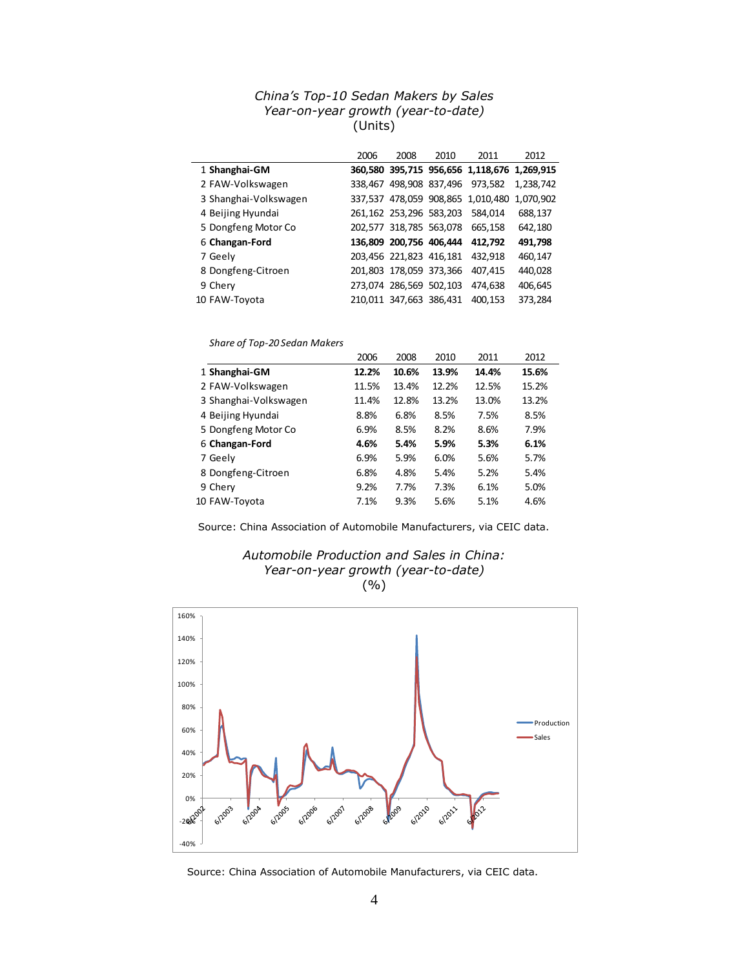# *China's Top-10 Sedan Makers by Sales Year-on-year growth (year-to-date)* (Units)

|                       | 2006 | 2008                    | 2010                    | 2011                                        | 2012      |
|-----------------------|------|-------------------------|-------------------------|---------------------------------------------|-----------|
| 1 Shanghai-GM         |      |                         |                         | 360,580 395,715 956,656 1,118,676 1,269,915 |           |
| 2 FAW-Volkswagen      |      |                         |                         | 338,467 498,908 837,496 973,582             | 1,238,742 |
| 3 Shanghai-Volkswagen |      |                         |                         | 337,537 478,059 908,865 1,010,480           | 1,070,902 |
| 4 Beijing Hyundai     |      |                         | 261,162 253,296 583,203 | 584,014                                     | 688,137   |
| 5 Dongfeng Motor Co   |      |                         | 202,577 318,785 563,078 | 665.158                                     | 642,180   |
| 6 Changan-Ford        |      |                         | 136,809 200,756 406,444 | 412.792                                     | 491,798   |
| 7 Geely               |      |                         | 203,456 221,823 416,181 | 432.918                                     | 460,147   |
| 8 Dongfeng-Citroen    |      | 201,803 178,059 373,366 |                         | 407,415                                     | 440,028   |
| 9 Chery               |      | 273,074 286,569 502,103 |                         | 474.638                                     | 406,645   |
| 10 FAW-Toyota         |      | 210,011 347,663 386,431 |                         | 400.153                                     | 373,284   |

### *Share of Top-20 Sedan Makers*

|                       | 2006  | 2008  | 2010  | 2011  | 2012  |
|-----------------------|-------|-------|-------|-------|-------|
| 1 Shanghai-GM         | 12.2% | 10.6% | 13.9% | 14.4% | 15.6% |
| 2 FAW-Volkswagen      | 11.5% | 13.4% | 12.2% | 12.5% | 15.2% |
| 3 Shanghai-Volkswagen | 11.4% | 12.8% | 13.2% | 13.0% | 13.2% |
| 4 Beijing Hyundai     | 8.8%  | 6.8%  | 8.5%  | 7.5%  | 8.5%  |
| 5 Dongfeng Motor Co   | 6.9%  | 8.5%  | 8.2%  | 8.6%  | 7.9%  |
| 6 Changan-Ford        | 4.6%  | 5.4%  | 5.9%  | 5.3%  | 6.1%  |
| 7 Geely               | 6.9%  | 5.9%  | 6.0%  | 5.6%  | 5.7%  |
| 8 Dongfeng-Citroen    | 6.8%  | 4.8%  | 5.4%  | 5.2%  | 5.4%  |
| 9 Chery               | 9.2%  | 7.7%  | 7.3%  | 6.1%  | 5.0%  |
| 10 FAW-Toyota         | 7.1%  | 9.3%  | 5.6%  | 5.1%  | 4.6%  |

Source: China Association of Automobile Manufacturers, via CEIC data.





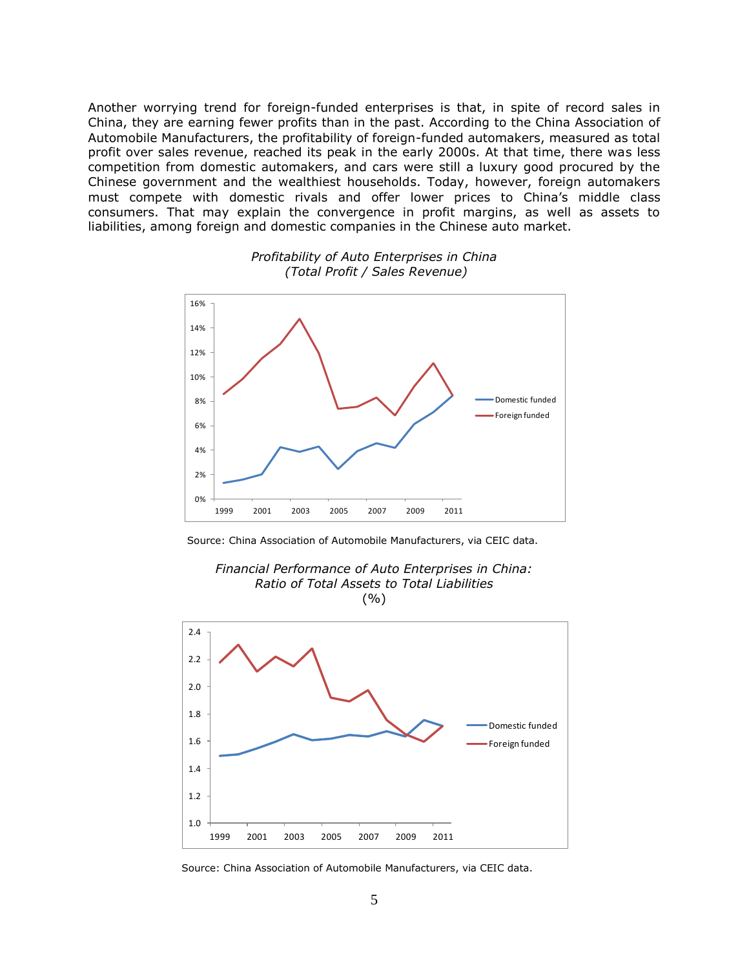Another worrying trend for foreign-funded enterprises is that, in spite of record sales in China, they are earning fewer profits than in the past. According to the China Association of Automobile Manufacturers, the profitability of foreign-funded automakers, measured as total profit over sales revenue, reached its peak in the early 2000s. At that time, there was less competition from domestic automakers, and cars were still a luxury good procured by the Chinese government and the wealthiest households. Today, however, foreign automakers must compete with domestic rivals and offer lower prices to China's middle class consumers. That may explain the convergence in profit margins, as well as assets to liabilities, among foreign and domestic companies in the Chinese auto market.



## *Profitability of Auto Enterprises in China (Total Profit / Sales Revenue)*

Source: China Association of Automobile Manufacturers, via CEIC data.





Source: China Association of Automobile Manufacturers, via CEIC data.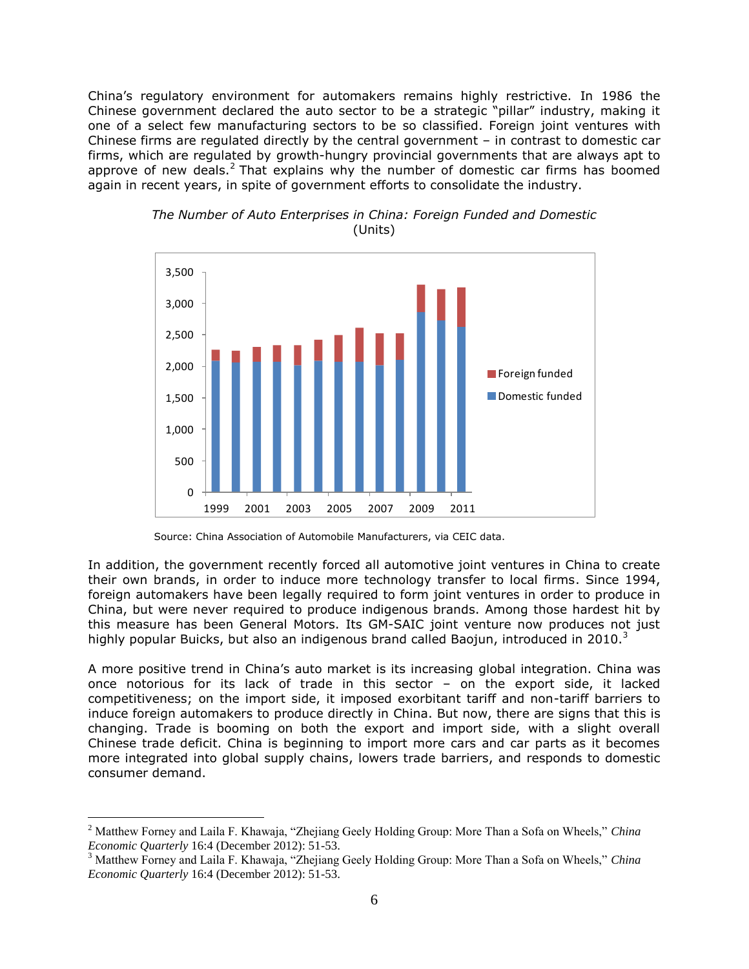China's regulatory environment for automakers remains highly restrictive. In 1986 the Chinese government declared the auto sector to be a strategic "pillar" industry, making it one of a select few manufacturing sectors to be so classified. Foreign joint ventures with Chinese firms are regulated directly by the central government – in contrast to domestic car firms, which are regulated by growth-hungry provincial governments that are always apt to approve of new deals.<sup>2</sup> That explains why the number of domestic car firms has boomed again in recent years, in spite of government efforts to consolidate the industry.





In addition, the government recently forced all automotive joint ventures in China to create their own brands, in order to induce more technology transfer to local firms. Since 1994, foreign automakers have been legally required to form joint ventures in order to produce in China, but were never required to produce indigenous brands. Among those hardest hit by this measure has been General Motors. Its GM-SAIC joint venture now produces not just highly popular Buicks, but also an indigenous brand called Baojun, introduced in 2010.<sup>3</sup>

A more positive trend in China's auto market is its increasing global integration. China was once notorious for its lack of trade in this sector – on the export side, it lacked competitiveness; on the import side, it imposed exorbitant tariff and non-tariff barriers to induce foreign automakers to produce directly in China. But now, there are signs that this is changing. Trade is booming on both the export and import side, with a slight overall Chinese trade deficit. China is beginning to import more cars and car parts as it becomes more integrated into global supply chains, lowers trade barriers, and responds to domestic consumer demand.

 $\overline{a}$ 

Source: China Association of Automobile Manufacturers, via CEIC data.

<sup>2</sup> Matthew Forney and Laila F. Khawaja, "Zhejiang Geely Holding Group: More Than a Sofa on Wheels," *China Economic Quarterly* 16:4 (December 2012): 51-53.

<sup>3</sup> Matthew Forney and Laila F. Khawaja, "Zhejiang Geely Holding Group: More Than a Sofa on Wheels," *China Economic Quarterly* 16:4 (December 2012): 51-53.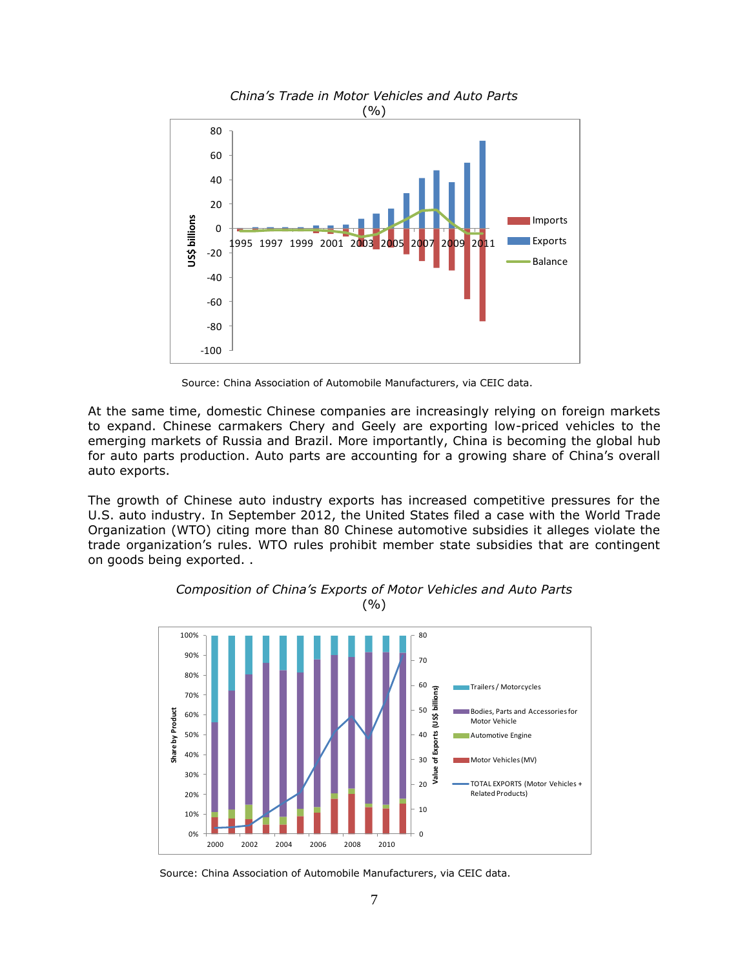

Source: China Association of Automobile Manufacturers, via CEIC data.

At the same time, domestic Chinese companies are increasingly relying on foreign markets to expand. Chinese carmakers Chery and Geely are exporting low-priced vehicles to the emerging markets of Russia and Brazil. More importantly, China is becoming the global hub for auto parts production. Auto parts are accounting for a growing share of China's overall auto exports.

The growth of Chinese auto industry exports has increased competitive pressures for the U.S. auto industry. In September 2012, the United States filed a case with the World Trade Organization (WTO) citing more than 80 Chinese automotive subsidies it alleges violate the trade organization's rules. WTO rules prohibit member state subsidies that are contingent on goods being exported. .



*Composition of China's Exports of Motor Vehicles and Auto Parts*  (%)

Source: China Association of Automobile Manufacturers, via CEIC data.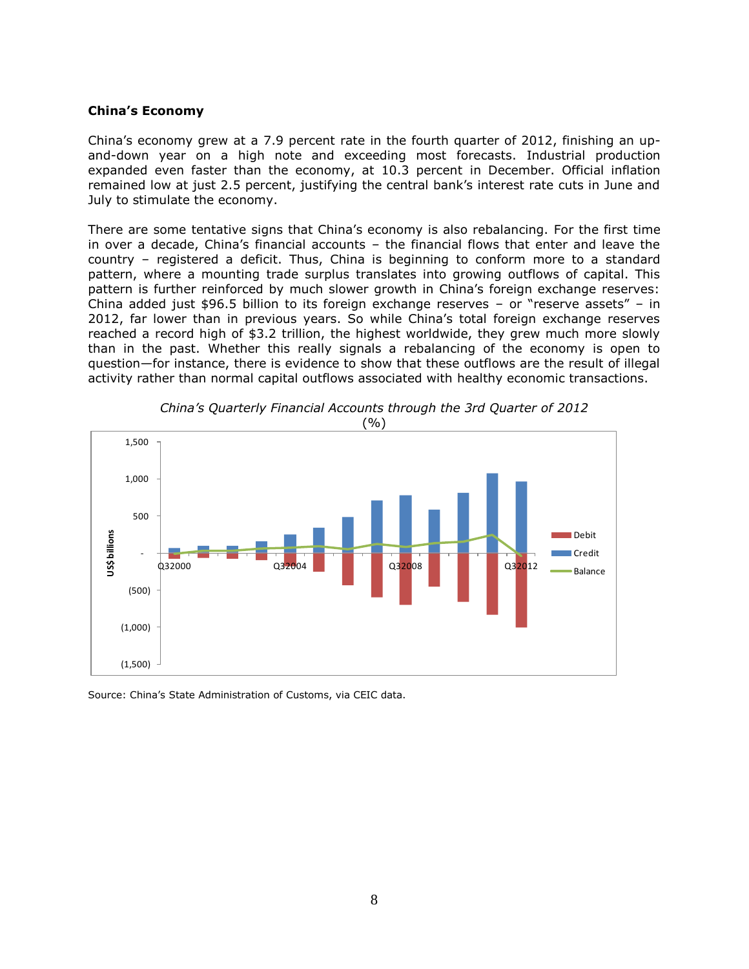## **China's Economy**

China's economy grew at a 7.9 percent rate in the fourth quarter of 2012, finishing an upand-down year on a high note and exceeding most forecasts. Industrial production expanded even faster than the economy, at 10.3 percent in December. Official inflation remained low at just 2.5 percent, justifying the central bank's interest rate cuts in June and July to stimulate the economy.

There are some tentative signs that China's economy is also rebalancing. For the first time in over a decade, China's financial accounts – the financial flows that enter and leave the country – registered a deficit. Thus, China is beginning to conform more to a standard pattern, where a mounting trade surplus translates into growing outflows of capital. This pattern is further reinforced by much slower growth in China's foreign exchange reserves: China added just \$96.5 billion to its foreign exchange reserves – or "reserve assets" – in 2012, far lower than in previous years. So while China's total foreign exchange reserves reached a record high of \$3.2 trillion, the highest worldwide, they grew much more slowly than in the past. Whether this really signals a rebalancing of the economy is open to question—for instance, there is evidence to show that these outflows are the result of illegal activity rather than normal capital outflows associated with healthy economic transactions.



*China's Quarterly Financial Accounts through the 3rd Quarter of 2012*

Source: China's State Administration of Customs, via CEIC data.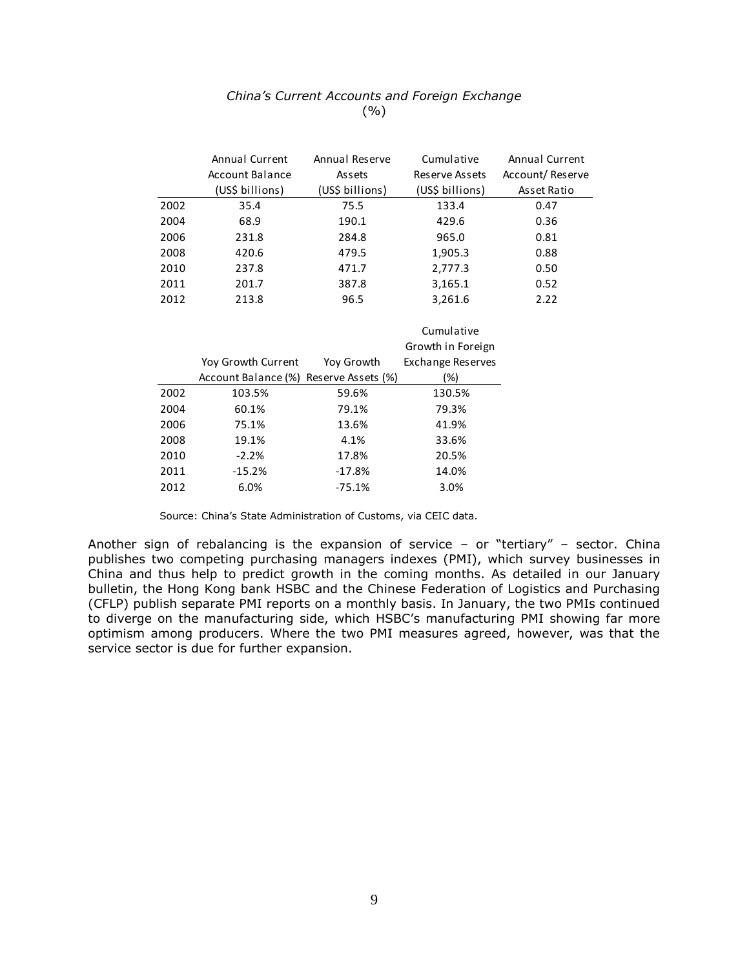|      | Annual Current  | Annual Reserve  | Cumulative      | Annual Current  |  |  |  |
|------|-----------------|-----------------|-----------------|-----------------|--|--|--|
|      | Account Balance | Assets          | Reserve Assets  | Account/Reserve |  |  |  |
|      | (US\$ billions) | (US\$ billions) | (US\$ billions) | Asset Ratio     |  |  |  |
| 2002 | 35.4            | 75.5            | 133.4           | 0.47            |  |  |  |
| 2004 | 68.9            | 190.1           | 429.6           | 0.36            |  |  |  |
| 2006 | 231.8           | 284.8           | 965.0           | 0.81            |  |  |  |
| 2008 | 420.6           | 479.5           | 1,905.3         | 0.88            |  |  |  |
| 2010 | 237.8           | 471.7           | 2,777.3         | 0.50            |  |  |  |
| 2011 | 201.7           | 387.8           | 3,165.1         | 0.52            |  |  |  |
| 2012 | 213.8           | 96.5            | 3,261.6         | 2.22            |  |  |  |
|      | Cumulative      |                 |                 |                 |  |  |  |
|      |                 |                 |                 |                 |  |  |  |

# *China's Current Accounts and Foreign Exchange*  $( %)$

|      |                                        |            | <b>Culliulative</b>      |
|------|----------------------------------------|------------|--------------------------|
|      |                                        |            | Growth in Foreign        |
|      | Yoy Growth Current                     | Yoy Growth | <b>Exchange Reserves</b> |
|      | Account Balance (%) Reserve Assets (%) |            | (%)                      |
| 2002 | 103.5%                                 | 59.6%      | 130.5%                   |
| 2004 | 60.1%                                  | 79.1%      | 79.3%                    |
| 2006 | 75.1%                                  | 13.6%      | 41.9%                    |
| 2008 | 19.1%                                  | 4.1%       | 33.6%                    |
| 2010 | $-2.2%$                                | 17.8%      | 20.5%                    |
| 2011 | $-15.2%$                               | $-17.8%$   | 14.0%                    |
| 2012 | 6.0%                                   | $-75.1%$   | 3.0%                     |
|      |                                        |            |                          |

Source: China's State Administration of Customs, via CEIC data.

Another sign of rebalancing is the expansion of service - or "tertiary" - sector. China publishes two competing purchasing managers indexes (PMI), which survey businesses in China and thus help to predict growth in the coming months. As detailed in our January bulletin, the Hong Kong bank HSBC and the Chinese Federation of Logistics and Purchasing (CFLP) publish separate PMI reports on a monthly basis. In January, the two PMIs continued to diverge on the manufacturing side, which HSBC's manufacturing PMI showing far more optimism among producers. Where the two PMI measures agreed, however, was that the service sector is due for further expansion.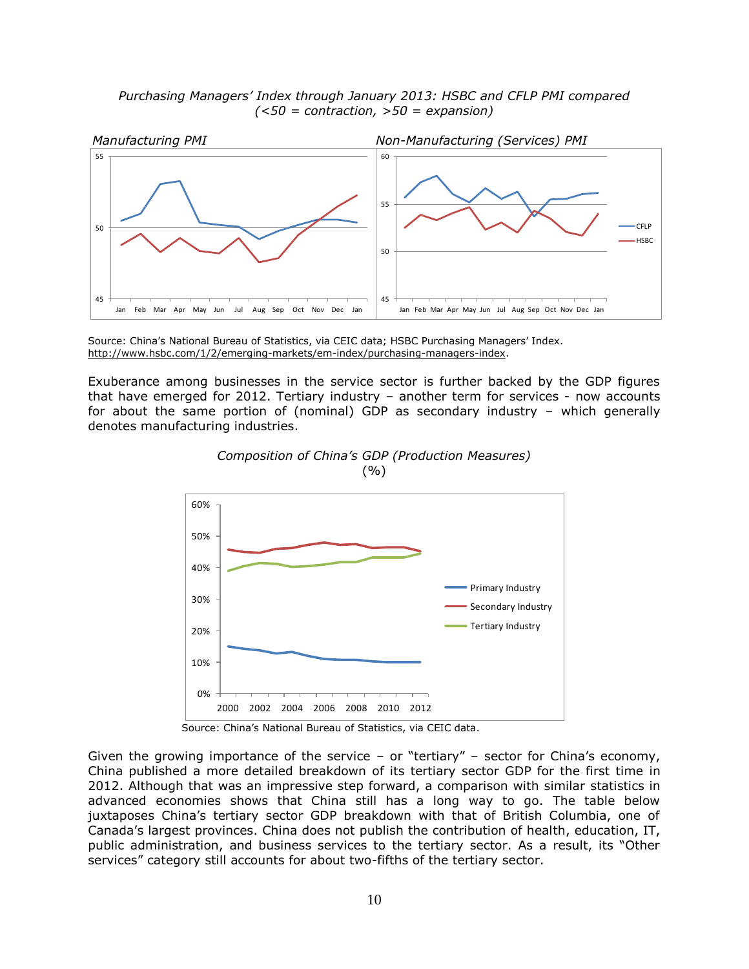*Purchasing Managers' Index through January 2013: HSBC and CFLP PMI compared (<50 = contraction, >50 = expansion)*



Source: China's National Bureau of Statistics, via CEIC data; HSBC Purchasing Managers' Index. http://www.hsbc.com/1/2/emerging-markets/em-index/purchasing-managers-index.

Exuberance among businesses in the service sector is further backed by the GDP figures that have emerged for 2012. Tertiary industry – another term for services - now accounts for about the same portion of (nominal) GDP as secondary industry – which generally denotes manufacturing industries.





Source: China's National Bureau of Statistics, via CEIC data.

Given the growing importance of the service – or "tertiary" – sector for China's economy, China published a more detailed breakdown of its tertiary sector GDP for the first time in 2012. Although that was an impressive step forward, a comparison with similar statistics in advanced economies shows that China still has a long way to go. The table below juxtaposes China's tertiary sector GDP breakdown with that of British Columbia, one of Canada's largest provinces. China does not publish the contribution of health, education, IT, public administration, and business services to the tertiary sector. As a result, its "Other services" category still accounts for about two-fifths of the tertiary sector.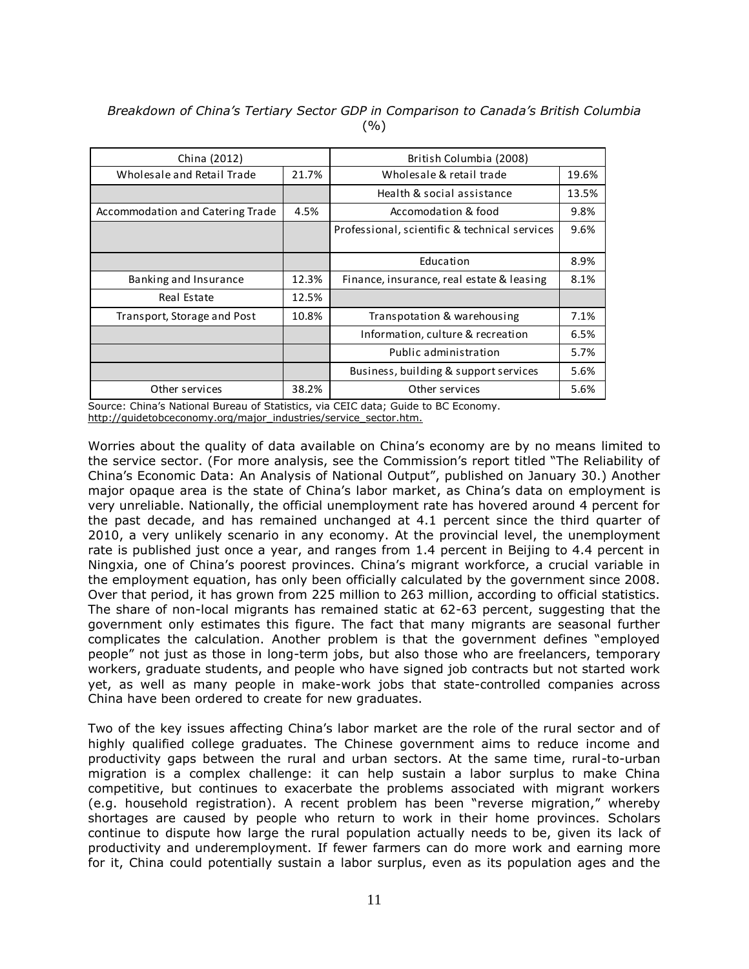| China (2012)                     |       | British Columbia (2008)                       |       |  |
|----------------------------------|-------|-----------------------------------------------|-------|--|
| Wholesale and Retail Trade       | 21.7% | Wholesale & retail trade                      | 19.6% |  |
|                                  |       | Health & social assistance                    | 13.5% |  |
| Accommodation and Catering Trade | 4.5%  | Accomodation & food                           | 9.8%  |  |
|                                  |       | Professional, scientific & technical services | 9.6%  |  |
|                                  |       | Education                                     | 8.9%  |  |
| Banking and Insurance            | 12.3% | Finance, insurance, real estate & leasing     | 8.1%  |  |
| Real Estate                      | 12.5% |                                               |       |  |
| Transport, Storage and Post      | 10.8% | Transpotation & warehousing                   | 7.1%  |  |
|                                  |       | Information, culture & recreation             | 6.5%  |  |
|                                  |       | Public administration                         | 5.7%  |  |
|                                  |       | Business, building & support services         | 5.6%  |  |
| Other services                   | 38.2% | Other services                                | 5.6%  |  |

*Breakdown of China's Tertiary Sector GDP in Comparison to Canada's British Columbia*  $( %)$ 

Source: China's National Bureau of Statistics, via CEIC data; Guide to BC Economy. http://quidetobceconomy.org/major\_industries/service\_sector.htm.

Worries about the quality of data available on China's economy are by no means limited to the service sector. (For more analysis, see the Commission's report titled "The Reliability of China's Economic Data: An Analysis of National Output", published on January 30.) Another major opaque area is the state of China's labor market, as China's data on employment is very unreliable. Nationally, the official unemployment rate has hovered around 4 percent for the past decade, and has remained unchanged at 4.1 percent since the third quarter of 2010, a very unlikely scenario in any economy. At the provincial level, the unemployment rate is published just once a year, and ranges from 1.4 percent in Beijing to 4.4 percent in Ningxia, one of China's poorest provinces. China's migrant workforce, a crucial variable in the employment equation, has only been officially calculated by the government since 2008. Over that period, it has grown from 225 million to 263 million, according to official statistics. The share of non-local migrants has remained static at 62-63 percent, suggesting that the government only estimates this figure. The fact that many migrants are seasonal further complicates the calculation. Another problem is that the government defines "employed people" not just as those in long-term jobs, but also those who are freelancers, temporary workers, graduate students, and people who have signed job contracts but not started work yet, as well as many people in make-work jobs that state-controlled companies across China have been ordered to create for new graduates.

Two of the key issues affecting China's labor market are the role of the rural sector and of highly qualified college graduates. The Chinese government aims to reduce income and productivity gaps between the rural and urban sectors. At the same time, rural-to-urban migration is a complex challenge: it can help sustain a labor surplus to make China competitive, but continues to exacerbate the problems associated with migrant workers (e.g. household registration). A recent problem has been "reverse migration," whereby shortages are caused by people who return to work in their home provinces. Scholars continue to dispute how large the rural population actually needs to be, given its lack of productivity and underemployment. If fewer farmers can do more work and earning more for it, China could potentially sustain a labor surplus, even as its population ages and the